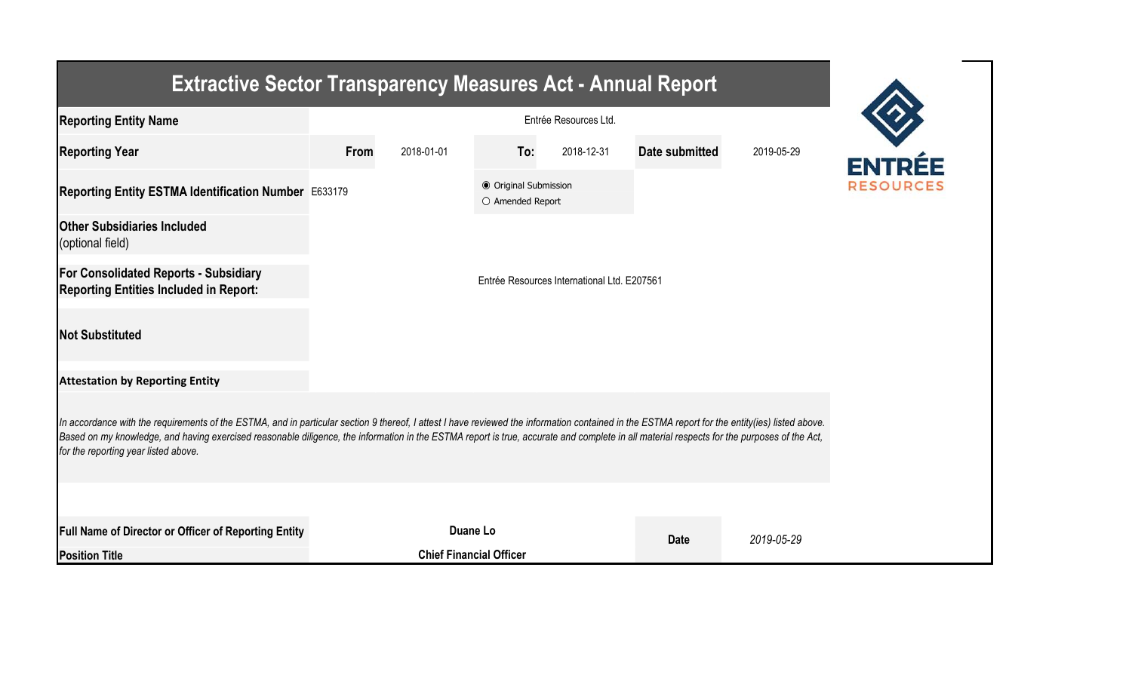| <b>Extractive Sector Transparency Measures Act - Annual Report</b>                                                                                                                                                                                                                                                                                                                                                                    |                       |                                             |                                           |            |                |            |  |  |  |  |
|---------------------------------------------------------------------------------------------------------------------------------------------------------------------------------------------------------------------------------------------------------------------------------------------------------------------------------------------------------------------------------------------------------------------------------------|-----------------------|---------------------------------------------|-------------------------------------------|------------|----------------|------------|--|--|--|--|
| <b>Reporting Entity Name</b>                                                                                                                                                                                                                                                                                                                                                                                                          | Entrée Resources Ltd. |                                             |                                           |            |                |            |  |  |  |  |
| <b>Reporting Year</b>                                                                                                                                                                                                                                                                                                                                                                                                                 | From                  | 2018-01-01                                  | To:                                       | 2018-12-31 | Date submitted | 2019-05-29 |  |  |  |  |
| Reporting Entity ESTMA Identification Number E633179                                                                                                                                                                                                                                                                                                                                                                                  |                       |                                             | ● Original Submission<br>O Amended Report |            |                |            |  |  |  |  |
| <b>Other Subsidiaries Included</b><br>(optional field)                                                                                                                                                                                                                                                                                                                                                                                |                       |                                             |                                           |            |                |            |  |  |  |  |
| <b>For Consolidated Reports - Subsidiary</b><br><b>Reporting Entities Included in Report:</b>                                                                                                                                                                                                                                                                                                                                         |                       | Entrée Resources International Ltd. E207561 |                                           |            |                |            |  |  |  |  |
| <b>Not Substituted</b>                                                                                                                                                                                                                                                                                                                                                                                                                |                       |                                             |                                           |            |                |            |  |  |  |  |
| <b>Attestation by Reporting Entity</b>                                                                                                                                                                                                                                                                                                                                                                                                |                       |                                             |                                           |            |                |            |  |  |  |  |
| In accordance with the requirements of the ESTMA, and in particular section 9 thereof, I attest I have reviewed the information contained in the ESTMA report for the entity(ies) listed above.<br>Based on my knowledge, and having exercised reasonable diligence, the information in the ESTMA report is true, accurate and complete in all material respects for the purposes of the Act,<br>for the reporting year listed above. |                       |                                             |                                           |            |                |            |  |  |  |  |
|                                                                                                                                                                                                                                                                                                                                                                                                                                       |                       |                                             |                                           |            |                |            |  |  |  |  |
| Full Name of Director or Officer of Reporting Entity                                                                                                                                                                                                                                                                                                                                                                                  |                       |                                             | Duane Lo                                  |            | <b>Date</b>    | 2019-05-29 |  |  |  |  |
| <b>Position Title</b>                                                                                                                                                                                                                                                                                                                                                                                                                 |                       |                                             | <b>Chief Financial Officer</b>            |            |                |            |  |  |  |  |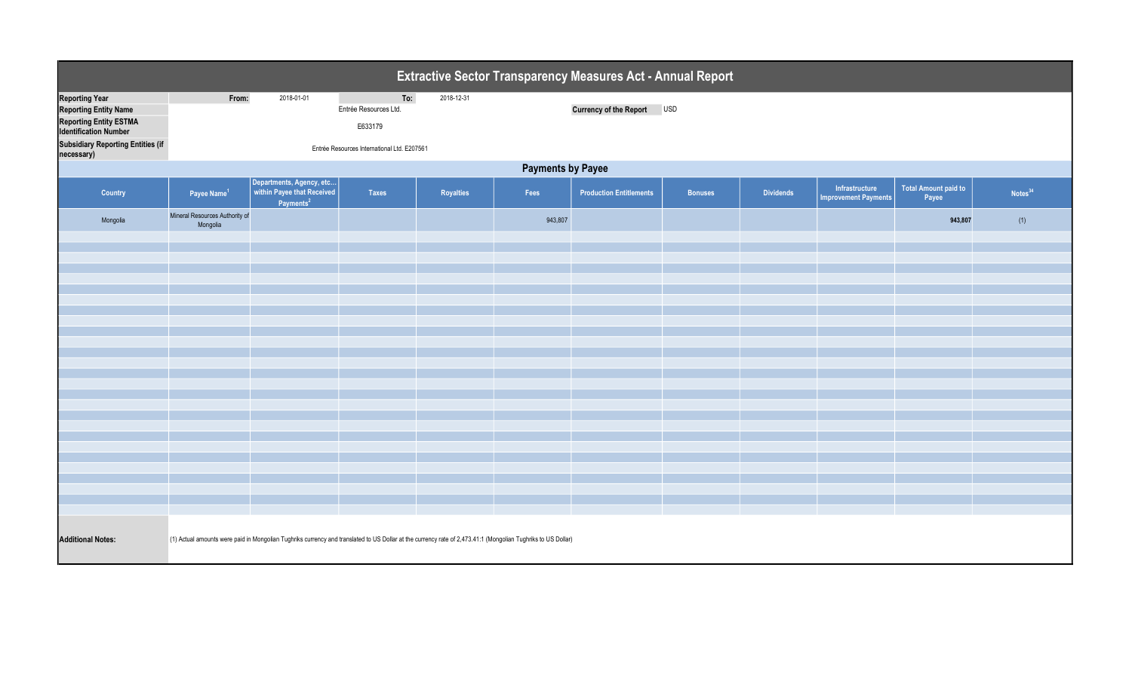| Extractive Sector Transparency Measures Act - Annual Report                                                                                                        |                                                                                                                                                              |                                                                                 |                                                                                        |                  |         |                                |         |                  |                                               |                               |                     |  |
|--------------------------------------------------------------------------------------------------------------------------------------------------------------------|--------------------------------------------------------------------------------------------------------------------------------------------------------------|---------------------------------------------------------------------------------|----------------------------------------------------------------------------------------|------------------|---------|--------------------------------|---------|------------------|-----------------------------------------------|-------------------------------|---------------------|--|
| <b>Reporting Year</b><br><b>Reporting Entity Name</b><br><b>Reporting Entity ESTMA</b><br><b>Identification Number</b><br><b>Subsidiary Reporting Entities (if</b> | From:                                                                                                                                                        | 2018-01-01                                                                      | To:<br>Entrée Resources Ltd.<br>E633179<br>Entrée Resources International Ltd. E207561 | 2018-12-31       |         | Currency of the Report USD     |         |                  |                                               |                               |                     |  |
| necessary)                                                                                                                                                         | <b>Payments by Payee</b>                                                                                                                                     |                                                                                 |                                                                                        |                  |         |                                |         |                  |                                               |                               |                     |  |
| Country                                                                                                                                                            | Payee Name <sup>1</sup>                                                                                                                                      | Departments, Agency, etc<br>within Payee that Received<br>Payments <sup>2</sup> | <b>Taxes</b>                                                                           | <b>Royalties</b> | Fees    | <b>Production Entitlements</b> | Bonuses | <b>Dividends</b> | Infrastructure<br><b>Improvement Payments</b> | Total Amount paid to<br>Payee | Notes <sup>34</sup> |  |
| Mongolia                                                                                                                                                           | Mineral Resources Authority of<br>Mongolia                                                                                                                   |                                                                                 |                                                                                        |                  | 943,807 |                                |         |                  |                                               | 943,807                       | (1)                 |  |
|                                                                                                                                                                    |                                                                                                                                                              |                                                                                 |                                                                                        |                  |         |                                |         |                  |                                               |                               |                     |  |
|                                                                                                                                                                    |                                                                                                                                                              |                                                                                 |                                                                                        |                  |         |                                |         |                  |                                               |                               |                     |  |
|                                                                                                                                                                    |                                                                                                                                                              |                                                                                 |                                                                                        |                  |         |                                |         |                  |                                               |                               |                     |  |
|                                                                                                                                                                    |                                                                                                                                                              |                                                                                 |                                                                                        |                  |         |                                |         |                  |                                               |                               |                     |  |
|                                                                                                                                                                    |                                                                                                                                                              |                                                                                 |                                                                                        |                  |         |                                |         |                  |                                               |                               |                     |  |
|                                                                                                                                                                    |                                                                                                                                                              |                                                                                 |                                                                                        |                  |         |                                |         |                  |                                               |                               |                     |  |
|                                                                                                                                                                    |                                                                                                                                                              |                                                                                 |                                                                                        |                  |         |                                |         |                  |                                               |                               |                     |  |
|                                                                                                                                                                    |                                                                                                                                                              |                                                                                 |                                                                                        |                  |         |                                |         |                  |                                               |                               |                     |  |
|                                                                                                                                                                    |                                                                                                                                                              |                                                                                 |                                                                                        |                  |         |                                |         |                  |                                               |                               |                     |  |
|                                                                                                                                                                    |                                                                                                                                                              |                                                                                 |                                                                                        |                  |         |                                |         |                  |                                               |                               |                     |  |
|                                                                                                                                                                    |                                                                                                                                                              |                                                                                 |                                                                                        |                  |         |                                |         |                  |                                               |                               |                     |  |
|                                                                                                                                                                    |                                                                                                                                                              |                                                                                 |                                                                                        |                  |         |                                |         |                  |                                               |                               |                     |  |
|                                                                                                                                                                    |                                                                                                                                                              |                                                                                 |                                                                                        |                  |         |                                |         |                  |                                               |                               |                     |  |
|                                                                                                                                                                    |                                                                                                                                                              |                                                                                 |                                                                                        |                  |         |                                |         |                  |                                               |                               |                     |  |
| <b>Additional Notes:</b>                                                                                                                                           | (1) Actual amounts were paid in Mongolian Tughriks currency and translated to US Dollar at the currency rate of 2,473.41:1 (Mongolian Tughriks to US Dollar) |                                                                                 |                                                                                        |                  |         |                                |         |                  |                                               |                               |                     |  |